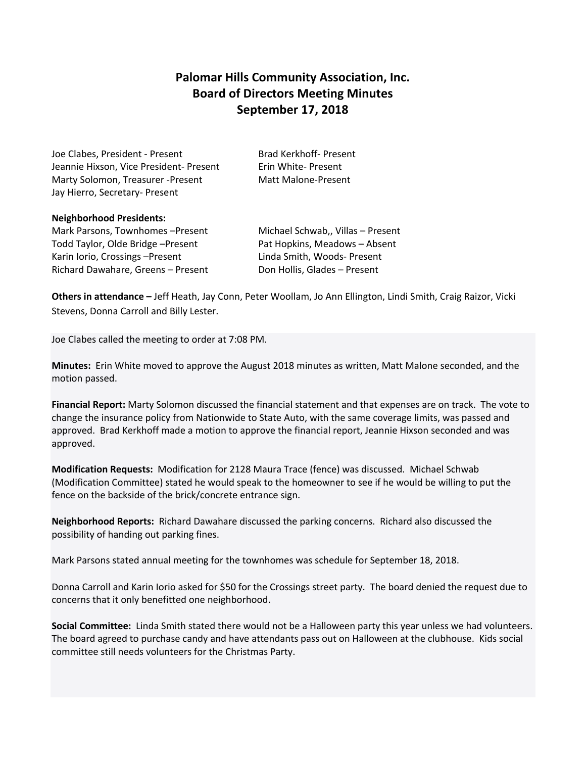## **Palomar Hills Community Association, Inc. Board of Directors Meeting Minutes September 17, 2018**

Joe Clabes, President - Present Brad Kerkhoff- Present Jeannie Hixson, Vice President- Present Frin White- Present Marty Solomon, Treasurer -Present Matt Malone-Present Jay Hierro, Secretary- Present

## **Neighborhood Presidents:**

Mark Parsons, Townhomes –Present Michael Schwab,, Villas – Present Todd Taylor, Olde Bridge –Present Pat Hopkins, Meadows – Absent Karin Iorio, Crossings – Present Linda Smith, Woods- Present Richard Dawahare, Greens – Present Don Hollis, Glades – Present

**Others in attendance –** Jeff Heath, Jay Conn, Peter Woollam, Jo Ann Ellington, Lindi Smith, Craig Raizor, Vicki Stevens, Donna Carroll and Billy Lester.

Joe Clabes called the meeting to order at 7:08 PM.

**Minutes:** Erin White moved to approve the August 2018 minutes as written, Matt Malone seconded, and the motion passed.

**Financial Report:** Marty Solomon discussed the financial statement and that expenses are on track. The vote to change the insurance policy from Nationwide to State Auto, with the same coverage limits, was passed and approved. Brad Kerkhoff made a motion to approve the financial report, Jeannie Hixson seconded and was approved.

**Modification Requests:** Modification for 2128 Maura Trace (fence) was discussed. Michael Schwab (Modification Committee) stated he would speak to the homeowner to see if he would be willing to put the fence on the backside of the brick/concrete entrance sign.

**Neighborhood Reports:** Richard Dawahare discussed the parking concerns. Richard also discussed the possibility of handing out parking fines.

Mark Parsons stated annual meeting for the townhomes was schedule for September 18, 2018.

Donna Carroll and Karin Iorio asked for \$50 for the Crossings street party. The board denied the request due to concerns that it only benefitted one neighborhood.

**Social Committee:** Linda Smith stated there would not be a Halloween party this year unless we had volunteers. The board agreed to purchase candy and have attendants pass out on Halloween at the clubhouse. Kids social committee still needs volunteers for the Christmas Party.